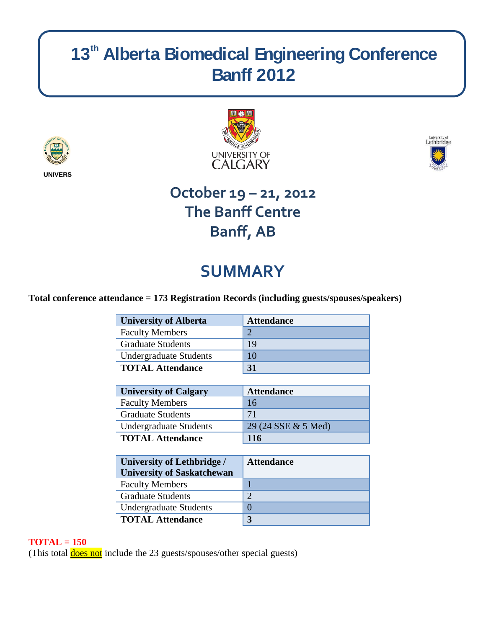# 13<sup>th</sup> Alberta Biomedical Engineering Conference **Banff 2012**







## **October 19 – 21, 2012 The Banff Centre Banff, AB**

# **SUMMARY**

### **Total conference attendance = 173 Registration Records (including guests/spouses/speakers)**

| <b>University of Alberta</b>  | <b>Attendance</b> |
|-------------------------------|-------------------|
| <b>Faculty Members</b>        |                   |
| <b>Graduate Students</b>      | 19                |
| <b>Undergraduate Students</b> | 10                |
| <b>TOTAL Attendance</b>       | 31                |

| <b>University of Calgary</b>  | <b>Attendance</b>   |
|-------------------------------|---------------------|
| <b>Faculty Members</b>        | 16                  |
| <b>Graduate Students</b>      | 71                  |
| <b>Undergraduate Students</b> | 29 (24 SSE & 5 Med) |
| <b>TOTAL Attendance</b>       | <b>116</b>          |

| <b>University of Lethbridge /</b><br><b>University of Saskatchewan</b> | <b>Attendance</b> |
|------------------------------------------------------------------------|-------------------|
| <b>Faculty Members</b>                                                 |                   |
| <b>Graduate Students</b>                                               | $\bigcirc$        |
| <b>Undergraduate Students</b>                                          |                   |
| <b>TOTAL Attendance</b>                                                | 3                 |

### **TOTAL = 150**

(This total **does not** include the 23 guests/spouses/other special guests)